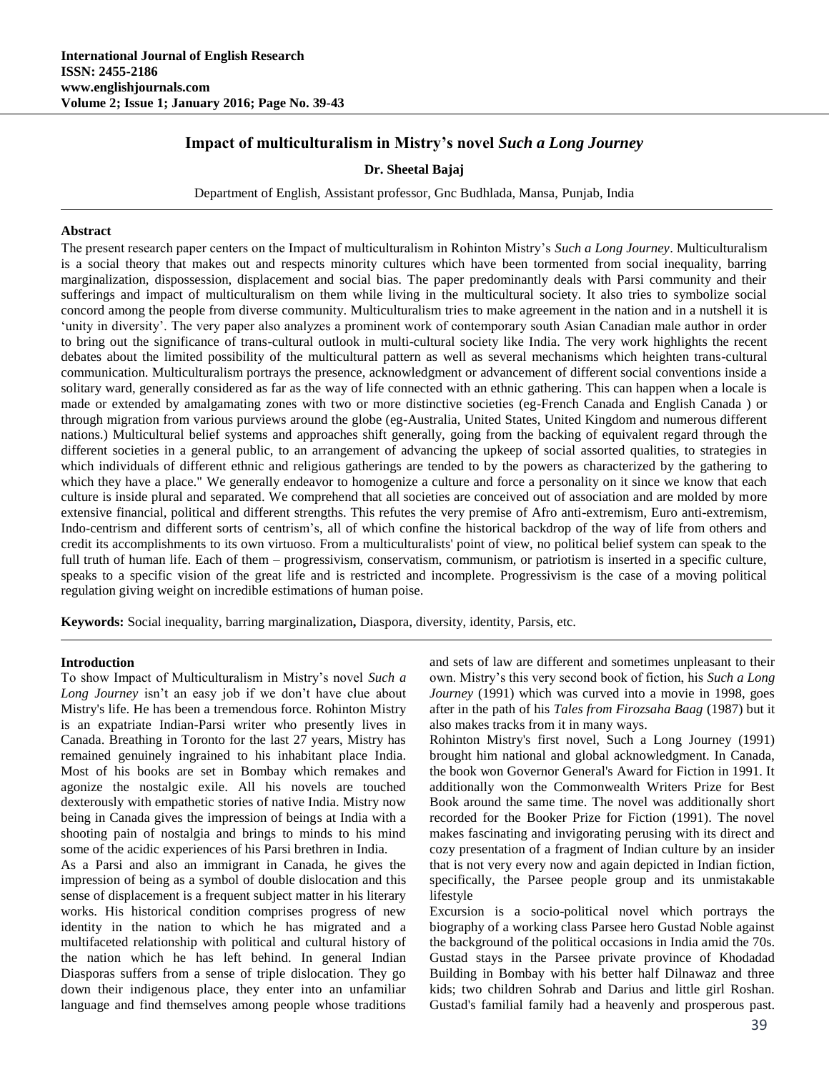# **Impact of multiculturalism in Mistry's novel** *Such a Long Journey*

# **Dr. Sheetal Bajaj**

Department of English, Assistant professor, Gnc Budhlada, Mansa, Punjab, India

# **Abstract**

The present research paper centers on the Impact of multiculturalism in Rohinton Mistry's *Such a Long Journey*. Multiculturalism is a social theory that makes out and respects minority cultures which have been tormented from social inequality, barring marginalization, dispossession, displacement and social bias. The paper predominantly deals with Parsi community and their sufferings and impact of multiculturalism on them while living in the multicultural society. It also tries to symbolize social concord among the people from diverse community. Multiculturalism tries to make agreement in the nation and in a nutshell it is 'unity in diversity'. The very paper also analyzes a prominent work of contemporary south Asian Canadian male author in order to bring out the significance of trans-cultural outlook in multi-cultural society like India. The very work highlights the recent debates about the limited possibility of the multicultural pattern as well as several mechanisms which heighten trans-cultural communication. Multiculturalism portrays the presence, acknowledgment or advancement of different social conventions inside a solitary ward, generally considered as far as the way of life connected with an ethnic gathering. This can happen when a locale is made or extended by amalgamating zones with two or more distinctive societies (eg-French Canada and English Canada ) or through migration from various purviews around the globe (eg-Australia, United States, United Kingdom and numerous different nations.) Multicultural belief systems and approaches shift generally, going from the backing of equivalent regard through the different societies in a general public, to an arrangement of advancing the upkeep of social assorted qualities, to strategies in which individuals of different ethnic and religious gatherings are tended to by the powers as characterized by the gathering to which they have a place." We generally endeavor to homogenize a culture and force a personality on it since we know that each culture is inside plural and separated. We comprehend that all societies are conceived out of association and are molded by more extensive financial, political and different strengths. This refutes the very premise of Afro anti-extremism, Euro anti-extremism, Indo-centrism and different sorts of centrism's, all of which confine the historical backdrop of the way of life from others and credit its accomplishments to its own virtuoso. From a multiculturalists' point of view, no political belief system can speak to the full truth of human life. Each of them – progressivism, conservatism, communism, or patriotism is inserted in a specific culture, speaks to a specific vision of the great life and is restricted and incomplete. Progressivism is the case of a moving political regulation giving weight on incredible estimations of human poise.

**Keywords:** Social inequality, barring marginalization**,** Diaspora, diversity, identity, Parsis, etc.

# **Introduction**

To show Impact of Multiculturalism in Mistry's novel *Such a Long Journey* isn't an easy job if we don't have clue about Mistry's life. He has been a tremendous force*.* Rohinton Mistry is an expatriate Indian-Parsi writer who presently lives in Canada. Breathing in Toronto for the last 27 years, Mistry has remained genuinely ingrained to his inhabitant place India. Most of his books are set in Bombay which remakes and agonize the nostalgic exile. All his novels are touched dexterously with empathetic stories of native India. Mistry now being in Canada gives the impression of beings at India with a shooting pain of nostalgia and brings to minds to his mind some of the acidic experiences of his Parsi brethren in India.

As a Parsi and also an immigrant in Canada, he gives the impression of being as a symbol of double dislocation and this sense of displacement is a frequent subject matter in his literary works. His historical condition comprises progress of new identity in the nation to which he has migrated and a multifaceted relationship with political and cultural history of the nation which he has left behind. In general Indian Diasporas suffers from a sense of triple dislocation. They go down their indigenous place, they enter into an unfamiliar language and find themselves among people whose traditions and sets of law are different and sometimes unpleasant to their own. Mistry's this very second book of fiction, his *Such a Long Journey* (1991) which was curved into a movie in 1998, goes after in the path of his *Tales from Firozsaha Baag* (1987) but it also makes tracks from it in many ways.

Rohinton Mistry's first novel, Such a Long Journey (1991) brought him national and global acknowledgment. In Canada, the book won Governor General's Award for Fiction in 1991. It additionally won the Commonwealth Writers Prize for Best Book around the same time. The novel was additionally short recorded for the Booker Prize for Fiction (1991). The novel makes fascinating and invigorating perusing with its direct and cozy presentation of a fragment of Indian culture by an insider that is not very every now and again depicted in Indian fiction, specifically, the Parsee people group and its unmistakable lifestyle

Excursion is a socio-political novel which portrays the biography of a working class Parsee hero Gustad Noble against the background of the political occasions in India amid the 70s. Gustad stays in the Parsee private province of Khodadad Building in Bombay with his better half Dilnawaz and three kids; two children Sohrab and Darius and little girl Roshan. Gustad's familial family had a heavenly and prosperous past.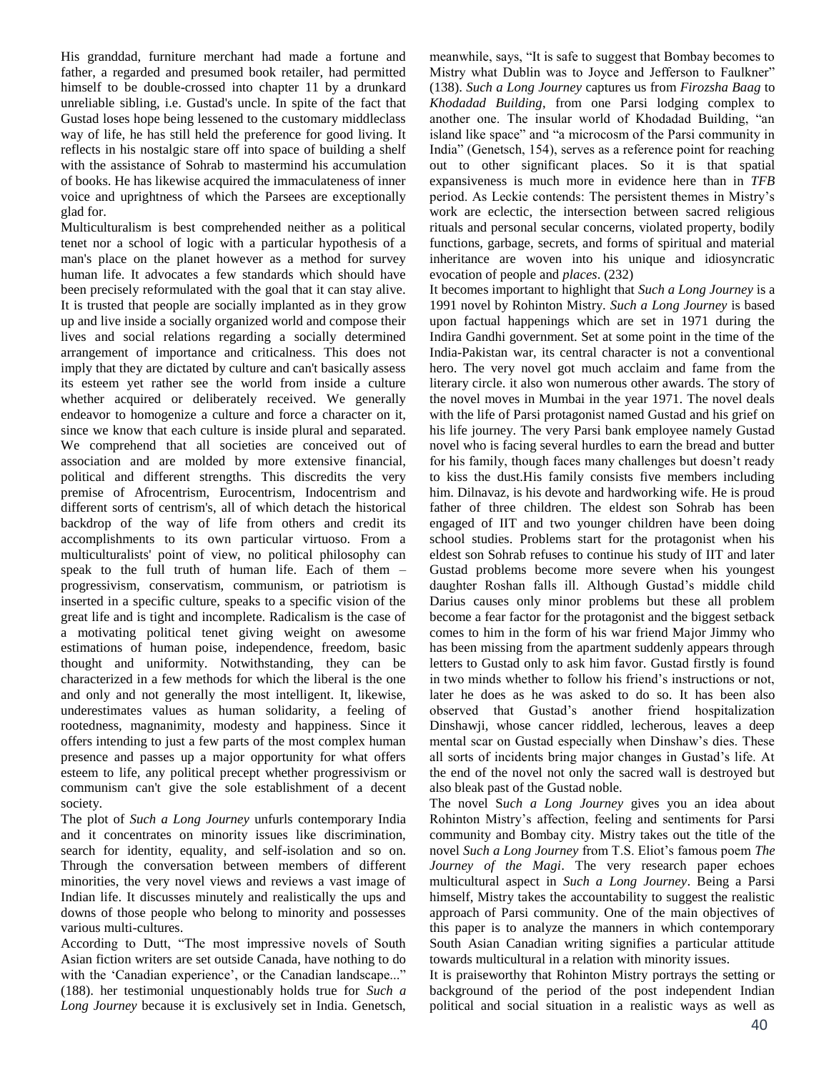His granddad, furniture merchant had made a fortune and father, a regarded and presumed book retailer, had permitted himself to be double-crossed into chapter 11 by a drunkard unreliable sibling, i.e. Gustad's uncle. In spite of the fact that Gustad loses hope being lessened to the customary middleclass way of life, he has still held the preference for good living. It reflects in his nostalgic stare off into space of building a shelf with the assistance of Sohrab to mastermind his accumulation of books. He has likewise acquired the immaculateness of inner voice and uprightness of which the Parsees are exceptionally glad for.

Multiculturalism is best comprehended neither as a political tenet nor a school of logic with a particular hypothesis of a man's place on the planet however as a method for survey human life. It advocates a few standards which should have been precisely reformulated with the goal that it can stay alive. It is trusted that people are socially implanted as in they grow up and live inside a socially organized world and compose their lives and social relations regarding a socially determined arrangement of importance and criticalness. This does not imply that they are dictated by culture and can't basically assess its esteem yet rather see the world from inside a culture whether acquired or deliberately received. We generally endeavor to homogenize a culture and force a character on it, since we know that each culture is inside plural and separated. We comprehend that all societies are conceived out of association and are molded by more extensive financial, political and different strengths. This discredits the very premise of Afrocentrism, Eurocentrism, Indocentrism and different sorts of centrism's, all of which detach the historical backdrop of the way of life from others and credit its accomplishments to its own particular virtuoso. From a multiculturalists' point of view, no political philosophy can speak to the full truth of human life. Each of them – progressivism, conservatism, communism, or patriotism is inserted in a specific culture, speaks to a specific vision of the great life and is tight and incomplete. Radicalism is the case of a motivating political tenet giving weight on awesome estimations of human poise, independence, freedom, basic thought and uniformity. Notwithstanding, they can be characterized in a few methods for which the liberal is the one and only and not generally the most intelligent. It, likewise, underestimates values as human solidarity, a feeling of rootedness, magnanimity, modesty and happiness. Since it offers intending to just a few parts of the most complex human presence and passes up a major opportunity for what offers esteem to life, any political precept whether progressivism or communism can't give the sole establishment of a decent society.

The plot of *Such a Long Journey* unfurls contemporary India and it concentrates on minority issues like discrimination, search for identity, equality, and self-isolation and so on. Through the conversation between members of different minorities, the very novel views and reviews a vast image of Indian life. It discusses minutely and realistically the ups and downs of those people who belong to minority and possesses various multi-cultures.

According to Dutt, "The most impressive novels of South Asian fiction writers are set outside Canada, have nothing to do with the 'Canadian experience', or the Canadian landscape..." (188). her testimonial unquestionably holds true for *Such a Long Journey* because it is exclusively set in India. Genetsch, meanwhile, says, "It is safe to suggest that Bombay becomes to Mistry what Dublin was to Joyce and Jefferson to Faulkner" (138). *Such a Long Journey* captures us from *Firozsha Baag* to *Khodadad Building*, from one Parsi lodging complex to another one. The insular world of Khodadad Building, "an island like space" and "a microcosm of the Parsi community in India" (Genetsch, 154), serves as a reference point for reaching out to other significant places. So it is that spatial expansiveness is much more in evidence here than in *TFB*  period. As Leckie contends: The persistent themes in Mistry's work are eclectic, the intersection between sacred religious rituals and personal secular concerns, violated property, bodily functions, garbage, secrets, and forms of spiritual and material inheritance are woven into his unique and idiosyncratic evocation of people and *places*. (232)

It becomes important to highlight that *Such a Long Journey* is a 1991 novel by Rohinton Mistry. *Such a Long Journey* is based upon factual happenings which are set in 1971 during the Indira Gandhi government. Set at some point in the time of the India-Pakistan war, its central character is not a conventional hero. The very novel got much acclaim and fame from the literary circle. it also won numerous other awards. The story of the novel moves in Mumbai in the year 1971. The novel deals with the life of Parsi protagonist named Gustad and his grief on his life journey. The very Parsi bank employee namely Gustad novel who is facing several hurdles to earn the bread and butter for his family, though faces many challenges but doesn't ready to kiss the dust.His family consists five members including him. Dilnavaz, is his devote and hardworking wife. He is proud father of three children. The eldest son Sohrab has been engaged of IIT and two younger children have been doing school studies. Problems start for the protagonist when his eldest son Sohrab refuses to continue his study of IIT and later Gustad problems become more severe when his youngest daughter Roshan falls ill. Although Gustad's middle child Darius causes only minor problems but these all problem become a fear factor for the protagonist and the biggest setback comes to him in the form of his war friend Major Jimmy who has been missing from the apartment suddenly appears through letters to Gustad only to ask him favor. Gustad firstly is found in two minds whether to follow his friend's instructions or not, later he does as he was asked to do so. It has been also observed that Gustad's another friend hospitalization Dinshawji, whose cancer riddled, lecherous, leaves a deep mental scar on Gustad especially when Dinshaw's dies. These all sorts of incidents bring major changes in Gustad's life. At the end of the novel not only the sacred wall is destroyed but also bleak past of the Gustad noble.

The novel S*uch a Long Journey* gives you an idea about Rohinton Mistry's affection, feeling and sentiments for Parsi community and Bombay city. Mistry takes out the title of the novel *Such a Long Journey* from T.S. Eliot's famous poem *The Journey of the Magi*. The very research paper echoes multicultural aspect in *Such a Long Journey*. Being a Parsi himself, Mistry takes the accountability to suggest the realistic approach of Parsi community. One of the main objectives of this paper is to analyze the manners in which contemporary South Asian Canadian writing signifies a particular attitude towards multicultural in a relation with minority issues.

It is praiseworthy that Rohinton Mistry portrays the setting or background of the period of the post independent Indian political and social situation in a realistic ways as well as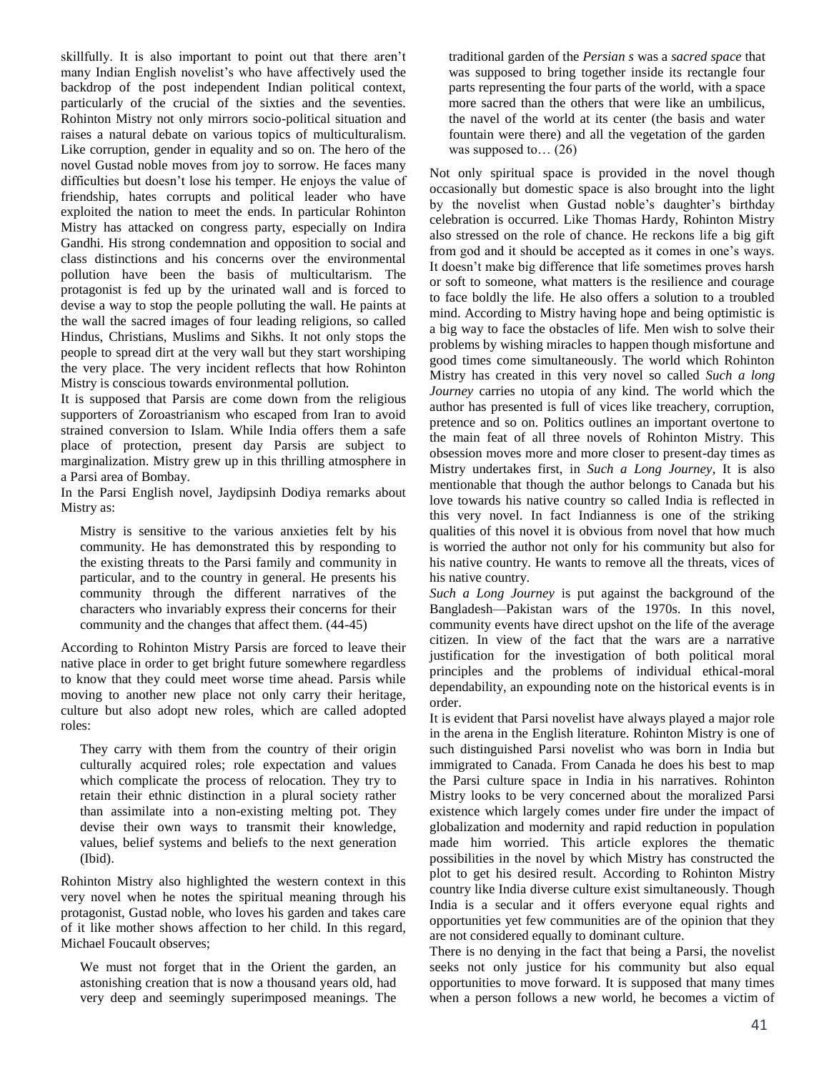skillfully. It is also important to point out that there aren't many Indian English novelist's who have affectively used the backdrop of the post independent Indian political context, particularly of the crucial of the sixties and the seventies. Rohinton Mistry not only mirrors socio-political situation and raises a natural debate on various topics of multiculturalism. Like corruption, gender in equality and so on. The hero of the novel Gustad noble moves from joy to sorrow. He faces many difficulties but doesn't lose his temper. He enjoys the value of friendship, hates corrupts and political leader who have exploited the nation to meet the ends. In particular Rohinton Mistry has attacked on congress party, especially on Indira Gandhi. His strong condemnation and opposition to social and class distinctions and his concerns over the environmental pollution have been the basis of multicultarism. The protagonist is fed up by the urinated wall and is forced to devise a way to stop the people polluting the wall. He paints at the wall the sacred images of four leading religions, so called Hindus, Christians, Muslims and Sikhs. It not only stops the people to spread dirt at the very wall but they start worshiping the very place. The very incident reflects that how Rohinton Mistry is conscious towards environmental pollution.

It is supposed that Parsis are come down from the religious supporters of Zoroastrianism who escaped from Iran to avoid strained conversion to Islam. While India offers them a safe place of protection, present day Parsis are subject to marginalization. Mistry grew up in this thrilling atmosphere in a Parsi area of Bombay.

In the Parsi English novel, Jaydipsinh Dodiya remarks about Mistry as:

Mistry is sensitive to the various anxieties felt by his community. He has demonstrated this by responding to the existing threats to the Parsi family and community in particular, and to the country in general. He presents his community through the different narratives of the characters who invariably express their concerns for their community and the changes that affect them. (44-45)

According to Rohinton Mistry Parsis are forced to leave their native place in order to get bright future somewhere regardless to know that they could meet worse time ahead. Parsis while moving to another new place not only carry their heritage, culture but also adopt new roles, which are called adopted roles:

They carry with them from the country of their origin culturally acquired roles; role expectation and values which complicate the process of relocation. They try to retain their ethnic distinction in a plural society rather than assimilate into a non-existing melting pot. They devise their own ways to transmit their knowledge, values, belief systems and beliefs to the next generation (Ibid).

Rohinton Mistry also highlighted the western context in this very novel when he notes the spiritual meaning through his protagonist, Gustad noble, who loves his garden and takes care of it like mother shows affection to her child. In this regard, Michael Foucault observes;

We must not forget that in the Orient the garden, an astonishing creation that is now a thousand years old, had very deep and seemingly superimposed meanings. The

traditional garden of the *Persian s* was a *sacred space* that was supposed to bring together inside its rectangle four parts representing the four parts of the world, with a space more sacred than the others that were like an umbilicus, the navel of the world at its center (the basis and water fountain were there) and all the vegetation of the garden was supposed to...  $(26)$ 

Not only spiritual space is provided in the novel though occasionally but domestic space is also brought into the light by the novelist when Gustad noble's daughter's birthday celebration is occurred. Like Thomas Hardy, Rohinton Mistry also stressed on the role of chance. He reckons life a big gift from god and it should be accepted as it comes in one's ways. It doesn't make big difference that life sometimes proves harsh or soft to someone, what matters is the resilience and courage to face boldly the life. He also offers a solution to a troubled mind. According to Mistry having hope and being optimistic is a big way to face the obstacles of life. Men wish to solve their problems by wishing miracles to happen though misfortune and good times come simultaneously. The world which Rohinton Mistry has created in this very novel so called *Such a long Journey* carries no utopia of any kind. The world which the author has presented is full of vices like treachery, corruption, pretence and so on. Politics outlines an important overtone to the main feat of all three novels of Rohinton Mistry. This obsession moves more and more closer to present-day times as Mistry undertakes first, in *Such a Long Journey*, It is also mentionable that though the author belongs to Canada but his love towards his native country so called India is reflected in this very novel. In fact Indianness is one of the striking qualities of this novel it is obvious from novel that how much is worried the author not only for his community but also for his native country. He wants to remove all the threats, vices of his native country.

*Such a Long Journey* is put against the background of the Bangladesh—Pakistan wars of the 1970s. In this novel, community events have direct upshot on the life of the average citizen. In view of the fact that the wars are a narrative justification for the investigation of both political moral principles and the problems of individual ethical-moral dependability, an expounding note on the historical events is in order.

It is evident that Parsi novelist have always played a major role in the arena in the English literature. Rohinton Mistry is one of such distinguished Parsi novelist who was born in India but immigrated to Canada. From Canada he does his best to map the Parsi culture space in India in his narratives. Rohinton Mistry looks to be very concerned about the moralized Parsi existence which largely comes under fire under the impact of globalization and modernity and rapid reduction in population made him worried. This article explores the thematic possibilities in the novel by which Mistry has constructed the plot to get his desired result. According to Rohinton Mistry country like India diverse culture exist simultaneously. Though India is a secular and it offers everyone equal rights and opportunities yet few communities are of the opinion that they are not considered equally to dominant culture.

There is no denying in the fact that being a Parsi, the novelist seeks not only justice for his community but also equal opportunities to move forward. It is supposed that many times when a person follows a new world, he becomes a victim of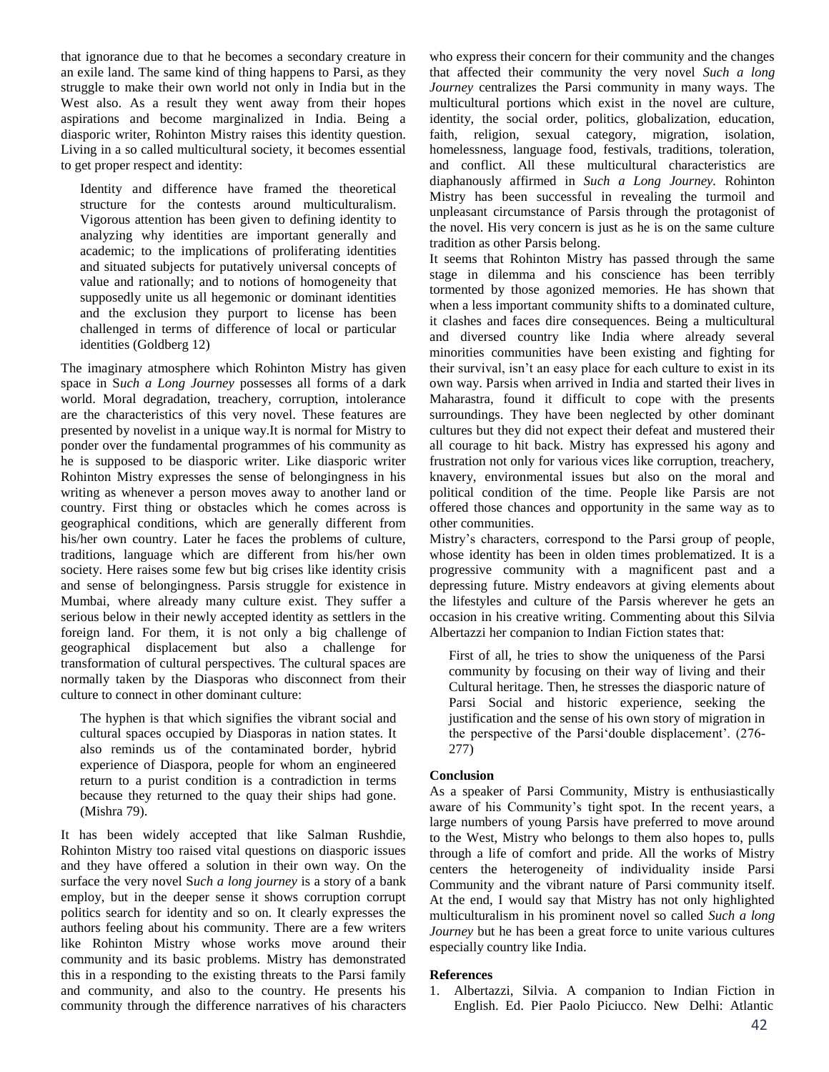that ignorance due to that he becomes a secondary creature in an exile land. The same kind of thing happens to Parsi, as they struggle to make their own world not only in India but in the West also. As a result they went away from their hopes aspirations and become marginalized in India. Being a diasporic writer, Rohinton Mistry raises this identity question. Living in a so called multicultural society, it becomes essential to get proper respect and identity:

Identity and difference have framed the theoretical structure for the contests around multiculturalism. Vigorous attention has been given to defining identity to analyzing why identities are important generally and academic; to the implications of proliferating identities and situated subjects for putatively universal concepts of value and rationally; and to notions of homogeneity that supposedly unite us all hegemonic or dominant identities and the exclusion they purport to license has been challenged in terms of difference of local or particular identities (Goldberg 12)

The imaginary atmosphere which Rohinton Mistry has given space in S*uch a Long Journey* possesses all forms of a dark world. Moral degradation, treachery, corruption, intolerance are the characteristics of this very novel. These features are presented by novelist in a unique way.It is normal for Mistry to ponder over the fundamental programmes of his community as he is supposed to be diasporic writer. Like diasporic writer Rohinton Mistry expresses the sense of belongingness in his writing as whenever a person moves away to another land or country. First thing or obstacles which he comes across is geographical conditions, which are generally different from his/her own country. Later he faces the problems of culture, traditions, language which are different from his/her own society. Here raises some few but big crises like identity crisis and sense of belongingness. Parsis struggle for existence in Mumbai, where already many culture exist. They suffer a serious below in their newly accepted identity as settlers in the foreign land. For them, it is not only a big challenge of geographical displacement but also a challenge for transformation of cultural perspectives. The cultural spaces are normally taken by the Diasporas who disconnect from their culture to connect in other dominant culture:

The hyphen is that which signifies the vibrant social and cultural spaces occupied by Diasporas in nation states. It also reminds us of the contaminated border, hybrid experience of Diaspora, people for whom an engineered return to a purist condition is a contradiction in terms because they returned to the quay their ships had gone. (Mishra 79).

It has been widely accepted that like Salman Rushdie, Rohinton Mistry too raised vital questions on diasporic issues and they have offered a solution in their own way. On the surface the very novel S*uch a long journey* is a story of a bank employ, but in the deeper sense it shows corruption corrupt politics search for identity and so on. It clearly expresses the authors feeling about his community. There are a few writers like Rohinton Mistry whose works move around their community and its basic problems. Mistry has demonstrated this in a responding to the existing threats to the Parsi family and community, and also to the country. He presents his community through the difference narratives of his characters

who express their concern for their community and the changes that affected their community the very novel *Such a long Journey* centralizes the Parsi community in many ways. The multicultural portions which exist in the novel are culture, identity, the social order, politics, globalization, education, faith, religion, sexual category, migration, isolation, homelessness, language food, festivals, traditions, toleration, and conflict. All these multicultural characteristics are diaphanously affirmed in *Such a Long Journey.* Rohinton Mistry has been successful in revealing the turmoil and unpleasant circumstance of Parsis through the protagonist of the novel. His very concern is just as he is on the same culture tradition as other Parsis belong.

It seems that Rohinton Mistry has passed through the same stage in dilemma and his conscience has been terribly tormented by those agonized memories. He has shown that when a less important community shifts to a dominated culture, it clashes and faces dire consequences. Being a multicultural and diversed country like India where already several minorities communities have been existing and fighting for their survival, isn't an easy place for each culture to exist in its own way. Parsis when arrived in India and started their lives in Maharastra, found it difficult to cope with the presents surroundings. They have been neglected by other dominant cultures but they did not expect their defeat and mustered their all courage to hit back. Mistry has expressed his agony and frustration not only for various vices like corruption, treachery, knavery, environmental issues but also on the moral and political condition of the time. People like Parsis are not offered those chances and opportunity in the same way as to other communities.

Mistry's characters, correspond to the Parsi group of people, whose identity has been in olden times problematized. It is a progressive community with a magnificent past and a depressing future. Mistry endeavors at giving elements about the lifestyles and culture of the Parsis wherever he gets an occasion in his creative writing. Commenting about this Silvia Albertazzi her companion to Indian Fiction states that:

First of all, he tries to show the uniqueness of the Parsi community by focusing on their way of living and their Cultural heritage. Then, he stresses the diasporic nature of Parsi Social and historic experience, seeking the justification and the sense of his own story of migration in the perspective of the Parsi'double displacement'. (276- 277)

# **Conclusion**

As a speaker of Parsi Community, Mistry is enthusiastically aware of his Community's tight spot. In the recent years, a large numbers of young Parsis have preferred to move around to the West, Mistry who belongs to them also hopes to, pulls through a life of comfort and pride. All the works of Mistry centers the heterogeneity of individuality inside Parsi Community and the vibrant nature of Parsi community itself. At the end, I would say that Mistry has not only highlighted multiculturalism in his prominent novel so called *Such a long Journey* but he has been a great force to unite various cultures especially country like India.

# **References**

1. Albertazzi, Silvia. A companion to Indian Fiction in English. Ed. Pier Paolo Piciucco. New Delhi: Atlantic